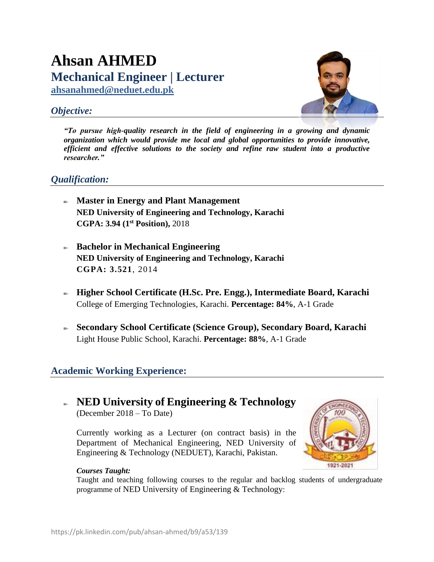# **Ahsan AHMED Mechanical Engineer | Lecturer**

**[ahsanahmed@neduet.edu.pk](mailto:ahsanahmed@neduet.edu.pk)**

## *Objective:*



*"To pursue high-quality research in the field of engineering in a growing and dynamic organization which would provide me local and global opportunities to provide innovative, efficient and effective solutions to the society and refine raw student into a productive researcher."*

### *Qualification:*

- **Master in Energy and Plant Management NED University of Engineering and Technology, Karachi CGPA: 3.94 (1st Position),** 2018
- **Bachelor in Mechanical Engineering NED University of Engineering and Technology, Karachi CGPA: 3.521**, 2014
- **Higher School Certificate (H.Sc. Pre. Engg.), Intermediate Board, Karachi** College of Emerging Technologies, Karachi. **Percentage: 84%**, A-1 Grade
- **Secondary School Certificate (Science Group), Secondary Board, Karachi** Light House Public School, Karachi. **Percentage: 88%**, A-1 Grade

## **Academic Working Experience:**

## **NED University of Engineering & Technology**

(December 2018 – To Date)

Currently working as a Lecturer (on contract basis) in the Department of Mechanical Engineering, NED University of Engineering & Technology (NEDUET), Karachi, Pakistan.



### *Courses Taught:*

Taught and teaching following courses to the regular and backlog students of undergraduate programme of NED University of Engineering & Technology: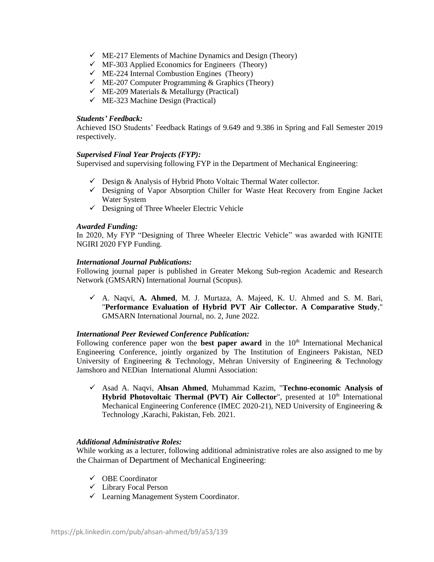- $\checkmark$  ME-217 Elements of Machine Dynamics and Design (Theory)
- $\checkmark$  MF-303 Applied Economics for Engineers (Theory)
- $\checkmark$  ME-224 Internal Combustion Engines (Theory)
- $\checkmark$  ME-207 Computer Programming & Graphics (Theory)
- $\checkmark$  ME-209 Materials & Metallurgy (Practical)
- $\checkmark$  ME-323 Machine Design (Practical)

#### *Students' Feedback:*

Achieved ISO Students' Feedback Ratings of 9.649 and 9.386 in Spring and Fall Semester 2019 respectively.

#### *Supervised Final Year Projects (FYP):*

Supervised and supervising following FYP in the Department of Mechanical Engineering:

- $\checkmark$  Design & Analysis of Hybrid Photo Voltaic Thermal Water collector.
- ✓ Designing of Vapor Absorption Chiller for Waste Heat Recovery from Engine Jacket Water System
- $\checkmark$  Designing of Three Wheeler Electric Vehicle

#### *Awarded Funding:*

In 2020, My FYP "Designing of Three Wheeler Electric Vehicle" was awarded with IGNITE NGIRI 2020 FYP Funding.

#### *International Journal Publications:*

Following journal paper is published in Greater Mekong Sub-region Academic and Research Network (GMSARN) International Journal (Scopus).

✓ A. Naqvi, **A. Ahmed**, M. J. Murtaza, A. Majeed, K. U. Ahmed and S. M. Bari, "**Performance Evaluation of Hybrid PVT Air Collector. A Comparative Study**," GMSARN International Journal, no. 2, June 2022.

#### *International Peer Reviewed Conference Publication:*

Following conference paper won the **best paper award** in the 10<sup>th</sup> International Mechanical Engineering Conference, jointly organized by The Institution of Engineers Pakistan, NED University of Engineering & Technology, Mehran University of Engineering & Technology Jamshoro and NEDian International Alumni Association:

✓ Asad A. Naqvi, **Ahsan Ahmed**, Muhammad Kazim, "**Techno-economic Analysis of**  Hybrid Photovoltaic Thermal (PVT) Air Collector", presented at 10<sup>th</sup> International Mechanical Engineering Conference (IMEC 2020-21), NED University of Engineering & Technology ,Karachi, Pakistan, Feb. 2021.

#### *Additional Administrative Roles:*

While working as a lecturer, following additional administrative roles are also assigned to me by the Chairman of Department of Mechanical Engineering:

- ✓ OBE Coordinator
- ✓ Library Focal Person
- ✓ Learning Management System Coordinator.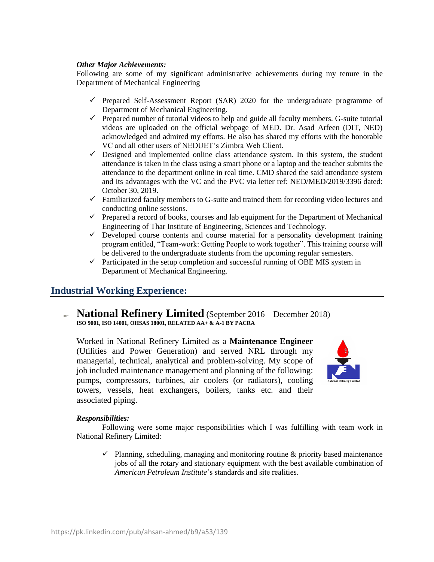#### *Other Major Achievements:*

Following are some of my significant administrative achievements during my tenure in the Department of Mechanical Engineering

- $\checkmark$  Prepared Self-Assessment Report (SAR) 2020 for the undergraduate programme of Department of Mechanical Engineering.
- ✓ Prepared number of tutorial videos to help and guide all faculty members. G-suite tutorial videos are uploaded on the official webpage of MED. Dr. Asad Arfeen (DIT, NED) acknowledged and admired my efforts. He also has shared my efforts with the honorable VC and all other users of NEDUET's Zimbra Web Client.
- $\checkmark$  Designed and implemented online class attendance system. In this system, the student attendance is taken in the class using a smart phone or a laptop and the teacher submits the attendance to the department online in real time. CMD shared the said attendance system and its advantages with the VC and the PVC via letter ref: NED/MED/2019/3396 dated: October 30, 2019.
- $\checkmark$  Familiarized faculty members to G-suite and trained them for recording video lectures and conducting online sessions.
- $\checkmark$  Prepared a record of books, courses and lab equipment for the Department of Mechanical Engineering of Thar Institute of Engineering, Sciences and Technology.
- $\checkmark$  Developed course contents and course material for a personality development training program entitled, "Team-work: Getting People to work together". This training course will be delivered to the undergraduate students from the upcoming regular semesters.
- $\checkmark$  Participated in the setup completion and successful running of OBE MIS system in Department of Mechanical Engineering.

### **Industrial Working Experience:**

**National Refinery Limited** (September 2016 – December 2018) **ISO 9001, ISO 14001, OHSAS 18001, RELATED AA+ & A-1 BY PACRA**

Worked in National Refinery Limited as a **Maintenance Engineer** (Utilities and Power Generation) and served NRL through my managerial, technical, analytical and problem-solving. My scope of job included maintenance management and planning of the following: pumps, compressors, turbines, air coolers (or radiators), cooling towers, vessels, heat exchangers, boilers, tanks etc. and their associated piping.



#### *Responsibilities:*

Following were some major responsibilities which I was fulfilling with team work in National Refinery Limited:

 $\checkmark$  Planning, scheduling, managing and monitoring routine & priority based maintenance jobs of all the rotary and stationary equipment with the best available combination of *American Petroleum Institute*'s standards and site realities.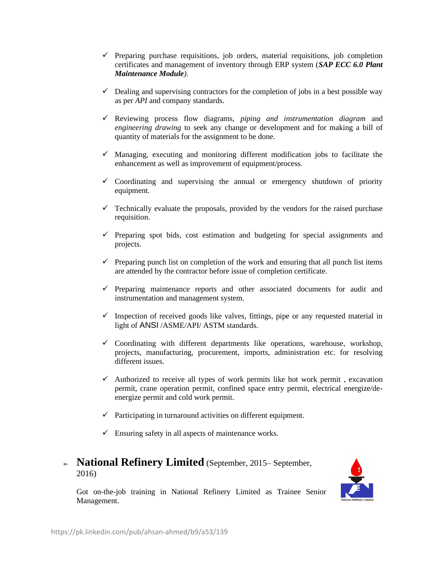- ✓ Preparing purchase requisitions, job orders, material requisitions, job completion certificates and management of inventory through ERP system (*SAP ECC 6.0 Plant Maintenance Module)*.
- $\checkmark$  Dealing and supervising contractors for the completion of jobs in a best possible way as per *API* and company standards.
- ✓ Reviewing process flow diagrams, *piping and instrumentation diagram* and *engineering drawing* to seek any change or development and for making a bill of quantity of materials for the assignment to be done.
- $\checkmark$  Managing, executing and monitoring different modification jobs to facilitate the enhancement as well as improvement of equipment/process.
- $\checkmark$  Coordinating and supervising the annual or emergency shutdown of priority equipment.
- $\checkmark$  Technically evaluate the proposals, provided by the vendors for the raised purchase requisition.
- $\checkmark$  Preparing spot bids, cost estimation and budgeting for special assignments and projects.
- $\checkmark$  Preparing punch list on completion of the work and ensuring that all punch list items are attended by the contractor before issue of completion certificate.
- ✓ Preparing maintenance reports and other associated documents for audit and instrumentation and management system.
- $\checkmark$  Inspection of received goods like valves, fittings, pipe or any requested material in light of ANSI /ASME/API/ ASTM standards.
- ✓ Coordinating with different departments like operations, warehouse, workshop, projects, manufacturing, procurement, imports, administration etc. for resolving different issues.
- $\checkmark$  Authorized to receive all types of work permits like hot work permit, excavation permit, crane operation permit, confined space entry permit, electrical energize/deenergize permit and cold work permit.
- $\checkmark$  Participating in turnaround activities on different equipment.
- $\checkmark$  Ensuring safety in all aspects of maintenance works.

### **National Refinery Limited** (September, 2015– September, 2016)

Got on-the-job training in National Refinery Limited as Trainee Senior Management.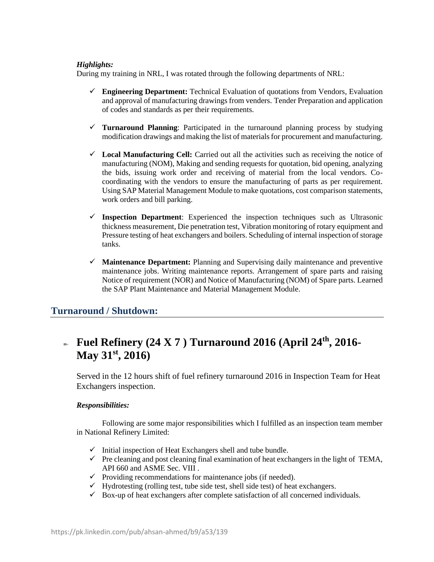#### *Highlights:*

During my training in NRL, I was rotated through the following departments of NRL:

- ✓ **Engineering Department:** Technical Evaluation of quotations from Vendors, Evaluation and approval of manufacturing drawings from venders. Tender Preparation and application of codes and standards as per their requirements.
- ✓ **Turnaround Planning**: Participated in the turnaround planning process by studying modification drawings and making the list of materials for procurement and manufacturing.
- ✓ **Local Manufacturing Cell:** Carried out all the activities such as receiving the notice of manufacturing (NOM), Making and sending requests for quotation, bid opening, analyzing the bids, issuing work order and receiving of material from the local vendors. Cocoordinating with the vendors to ensure the manufacturing of parts as per requirement. Using SAP Material Management Module to make quotations, cost comparison statements, work orders and bill parking.
- ✓ **Inspection Department**: Experienced the inspection techniques such as Ultrasonic thickness measurement, Die penetration test, Vibration monitoring of rotary equipment and Pressure testing of heat exchangers and boilers. Scheduling of internal inspection of storage tanks.
- ✓ **Maintenance Department:** Planning and Supervising daily maintenance and preventive maintenance jobs. Writing maintenance reports. Arrangement of spare parts and raising Notice of requirement (NOR) and Notice of Manufacturing (NOM) of Spare parts. Learned the SAP Plant Maintenance and Material Management Module.

## **Turnaround / Shutdown:**

## **Fuel Refinery (24 X 7 ) Turnaround 2016 (April 24th, 2016- May 31st, 2016)**

Served in the 12 hours shift of fuel refinery turnaround 2016 in Inspection Team for Heat Exchangers inspection.

### *Responsibilities:*

Following are some major responsibilities which I fulfilled as an inspection team member in National Refinery Limited:

- $\checkmark$  Initial inspection of Heat Exchangers shell and tube bundle.
- $\checkmark$  Pre cleaning and post cleaning final examination of heat exchangers in the light of TEMA, API 660 and ASME Sec. VIII .
- $\checkmark$  Providing recommendations for maintenance jobs (if needed).
- $\checkmark$  Hydrotesting (rolling test, tube side test, shell side test) of heat exchangers.
- $\checkmark$  Box-up of heat exchangers after complete satisfaction of all concerned individuals.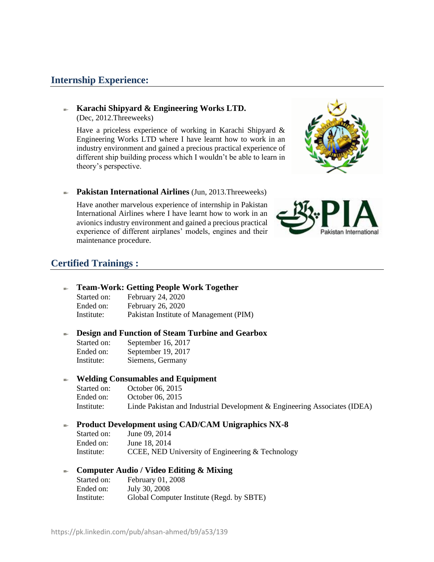### **Internship Experience:**

#### **Karachi Shipyard & Engineering Works LTD.**  (Dec, 2012.Threeweeks)

Have a priceless experience of working in Karachi Shipyard & Engineering Works LTD where I have learnt how to work in an industry environment and gained a precious practical experience of different ship building process which I wouldn't be able to learn in theory's perspective.



#### **Pakistan International Airlines** (Jun, 2013.Threeweeks)

Have another marvelous experience of internship in Pakistan International Airlines where I have learnt how to work in an avionics industry environment and gained a precious practical experience of different airplanes' models, engines and their maintenance procedure.



### **Certified Trainings :**

#### **Team-Work: Getting People Work Together**

| Started on: | February 24, 2020                      |
|-------------|----------------------------------------|
| Ended on:   | February 26, 2020                      |
| Institute:  | Pakistan Institute of Management (PIM) |

#### **Design and Function of Steam Turbine and Gearbox** e.

| Started on: | September 16, 2017 |
|-------------|--------------------|
| Ended on:   | September 19, 2017 |
| Institute:  | Siemens, Germany   |

#### **Welding Consumables and Equipment** ÷.

| Started on: | October 06, 2015                                                          |
|-------------|---------------------------------------------------------------------------|
| Ended on:   | October 06, 2015                                                          |
| Institute:  | Linde Pakistan and Industrial Development & Engineering Associates (IDEA) |

#### **Product Development using CAD/CAM Unigraphics NX-8**

| Started on: | June 09, 2014                                    |
|-------------|--------------------------------------------------|
| Ended on:   | June 18, 2014                                    |
| Institute:  | CCEE, NED University of Engineering & Technology |

#### **Computer Audio / Video Editing & Mixing**  $\sim$

| Started on: | February 01, 2008                         |
|-------------|-------------------------------------------|
| Ended on:   | July 30, 2008                             |
| Institute:  | Global Computer Institute (Regd. by SBTE) |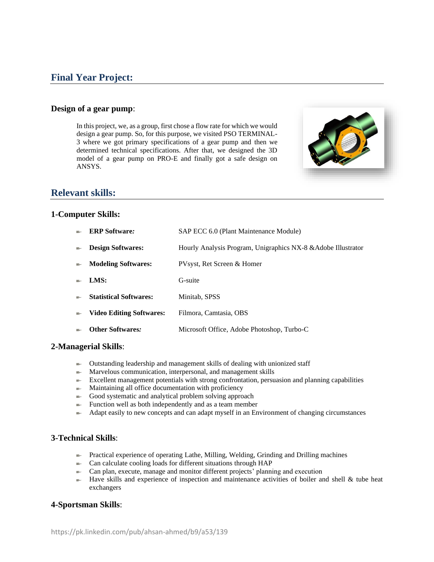### **Final Year Project:**

#### **Design of a gear pump**:

In this project, we, as a group, first chose a flow rate for which we would design a gear pump. So, for this purpose, we visited PSO TERMINAL-3 where we got primary specifications of a gear pump and then we determined technical specifications. After that, we designed the 3D model of a gear pump on PRO-E and finally got a safe design on ANSYS.



### **Relevant skills:**

#### **1-Computer Skills:**

| s.     | <b>ERP</b> Software:          | SAP ECC 6.0 (Plant Maintenance Module)                        |
|--------|-------------------------------|---------------------------------------------------------------|
| s.     | <b>Design Softwares:</b>      | Hourly Analysis Program, Unigraphics NX-8 & Adobe Illustrator |
| $\sim$ | <b>Modeling Softwares:</b>    | PVsyst, Ret Screen & Homer                                    |
| ×.     | LMS:                          | G-suite                                                       |
| s.     | <b>Statistical Softwares:</b> | Minitab, SPSS                                                 |
| ÷      | Video Editing Softwares:      | Filmora, Camtasia, OBS                                        |

**Other Softwares***:* Microsoft Office, Adobe Photoshop, Turbo-C

#### **2-Managerial Skills**:

- Outstanding leadership and management skills of dealing with unionized staff
- $\blacktriangleright$  Marvelous communication, interpersonal, and management skills
- $\blacktriangleright$  Excellent management potentials with strong confrontation, persuasion and planning capabilities
- $\blacksquare$  Maintaining all office documentation with proficiency
- $\equiv$  Good systematic and analytical problem solving approach
- $\blacktriangleright$  Function well as both independently and as a team member
- Adapt easily to new concepts and can adapt myself in an Environment of changing circumstances

#### **3-Technical Skills**:

- $\blacktriangleright$  Practical experience of operating Lathe, Milling, Welding, Grinding and Drilling machines
- Can calculate cooling loads for different situations through HAP
- Can plan, execute, manage and monitor different projects' planning and execution
- $\blacktriangleright$  Have skills and experience of inspection and maintenance activities of boiler and shell & tube heat exchangers

#### **4-Sportsman Skills**: